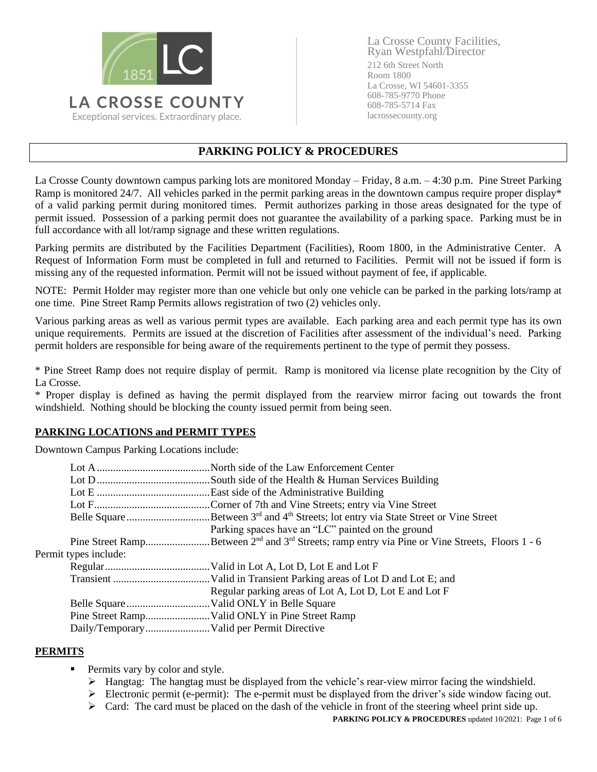

La Crosse County Facilities, Ryan Westpfahl/Director 212 6th Street North Room 1800 La Crosse, WI 54601-3355 608-785-9770 Phone 608-785-5714 Fax lacrossecounty.org

# **PARKING POLICY & PROCEDURES**

La Crosse County downtown campus parking lots are monitored Monday – Friday, 8 a.m. – 4:30 p.m. Pine Street Parking Ramp is monitored 24/7. All vehicles parked in the permit parking areas in the downtown campus require proper display\* of a valid parking permit during monitored times. Permit authorizes parking in those areas designated for the type of permit issued. Possession of a parking permit does not guarantee the availability of a parking space. Parking must be in full accordance with all lot/ramp signage and these written regulations.

Parking permits are distributed by the Facilities Department (Facilities), Room 1800, in the Administrative Center. A Request of Information Form must be completed in full and returned to Facilities. Permit will not be issued if form is missing any of the requested information. Permit will not be issued without payment of fee, if applicable.

NOTE: Permit Holder may register more than one vehicle but only one vehicle can be parked in the parking lots/ramp at one time. Pine Street Ramp Permits allows registration of two (2) vehicles only.

Various parking areas as well as various permit types are available. Each parking area and each permit type has its own unique requirements. Permits are issued at the discretion of Facilities after assessment of the individual's need. Parking permit holders are responsible for being aware of the requirements pertinent to the type of permit they possess.

\* Pine Street Ramp does not require display of permit. Ramp is monitored via license plate recognition by the City of La Crosse.

\* Proper display is defined as having the permit displayed from the rearview mirror facing out towards the front windshield. Nothing should be blocking the county issued permit from being seen.

### **PARKING LOCATIONS and PERMIT TYPES**

Downtown Campus Parking Locations include:

|                       |  | Parking spaces have an "LC" painted on the ground                                                        |
|-----------------------|--|----------------------------------------------------------------------------------------------------------|
|                       |  | Pine Street RampBetween $2^{nd}$ and $3^{rd}$ Streets; ramp entry via Pine or Vine Streets, Floors 1 - 6 |
| Permit types include: |  |                                                                                                          |
|                       |  |                                                                                                          |
|                       |  |                                                                                                          |
|                       |  | Regular parking areas of Lot A, Lot D, Lot E and Lot F                                                   |
|                       |  |                                                                                                          |
|                       |  |                                                                                                          |
|                       |  |                                                                                                          |

### **PERMITS**

- **•** Permits vary by color and style.
	- $\triangleright$  Hangtag: The hangtag must be displayed from the vehicle's rear-view mirror facing the windshield.
	- $\triangleright$  Electronic permit (e-permit): The e-permit must be displayed from the driver's side window facing out.
	- $\triangleright$  Card: The card must be placed on the dash of the vehicle in front of the steering wheel print side up.

**PARKING POLICY & PROCEDURES** updated 10/2021: Page 1 of 6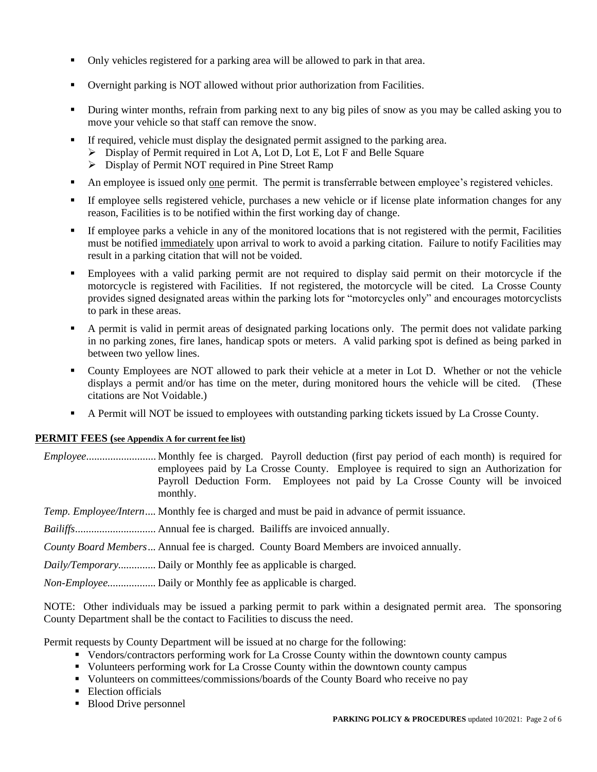- Only vehicles registered for a parking area will be allowed to park in that area.
- Overnight parking is NOT allowed without prior authorization from Facilities.
- During winter months, refrain from parking next to any big piles of snow as you may be called asking you to move your vehicle so that staff can remove the snow.
- If required, vehicle must display the designated permit assigned to the parking area.
	- ➢ Display of Permit required in Lot A, Lot D, Lot E, Lot F and Belle Square
	- ➢ Display of Permit NOT required in Pine Street Ramp
- An employee is issued only one permit. The permit is transferrable between employee's registered vehicles.
- If employee sells registered vehicle, purchases a new vehicle or if license plate information changes for any reason, Facilities is to be notified within the first working day of change.
- If employee parks a vehicle in any of the monitored locations that is not registered with the permit, Facilities must be notified immediately upon arrival to work to avoid a parking citation. Failure to notify Facilities may result in a parking citation that will not be voided.
- Employees with a valid parking permit are not required to display said permit on their motorcycle if the motorcycle is registered with Facilities. If not registered, the motorcycle will be cited. La Crosse County provides signed designated areas within the parking lots for "motorcycles only" and encourages motorcyclists to park in these areas.
- A permit is valid in permit areas of designated parking locations only. The permit does not validate parking in no parking zones, fire lanes, handicap spots or meters. A valid parking spot is defined as being parked in between two yellow lines.
- County Employees are NOT allowed to park their vehicle at a meter in Lot D. Whether or not the vehicle displays a permit and/or has time on the meter, during monitored hours the vehicle will be cited. (These citations are Not Voidable.)
- A Permit will NOT be issued to employees with outstanding parking tickets issued by La Crosse County.

#### **PERMIT FEES (see Appendix A for current fee list)**

*Employee*.......................... Monthly fee is charged. Payroll deduction (first pay period of each month) is required for employees paid by La Crosse County. Employee is required to sign an Authorization for Payroll Deduction Form. Employees not paid by La Crosse County will be invoiced monthly.

*Temp. Employee/Intern....* Monthly fee is charged and must be paid in advance of permit issuance.

*Bailiffs..............................* Annual fee is charged. Bailiffs are invoiced annually.

*County Board Members...* Annual fee is charged. County Board Members are invoiced annually.

*Daily/Temporary..............* Daily or Monthly fee as applicable is charged.

*Non-Employee..................* Daily or Monthly fee as applicable is charged.

NOTE: Other individuals may be issued a parking permit to park within a designated permit area. The sponsoring County Department shall be the contact to Facilities to discuss the need.

Permit requests by County Department will be issued at no charge for the following:

- Vendors/contractors performing work for La Crosse County within the downtown county campus
- Volunteers performing work for La Crosse County within the downtown county campus
- Volunteers on committees/commissions/boards of the County Board who receive no pay
- **Election officials**
- Blood Drive personnel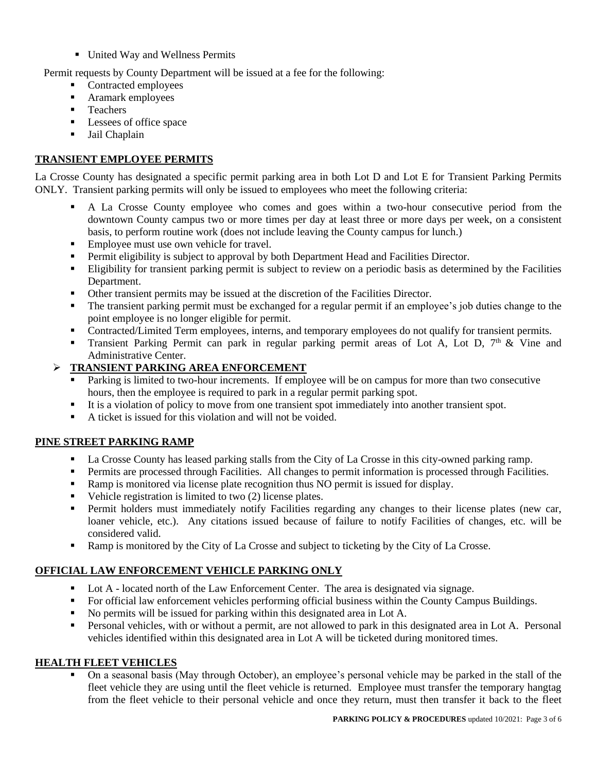■ United Way and Wellness Permits

Permit requests by County Department will be issued at a fee for the following:

- Contracted employees
- **EXECUTE:** Aramark employees
- Teachers
- Lessees of office space
- **■** Jail Chaplain

#### **TRANSIENT EMPLOYEE PERMITS**

La Crosse County has designated a specific permit parking area in both Lot D and Lot E for Transient Parking Permits ONLY. Transient parking permits will only be issued to employees who meet the following criteria:

- A La Crosse County employee who comes and goes within a two-hour consecutive period from the downtown County campus two or more times per day at least three or more days per week, on a consistent basis, to perform routine work (does not include leaving the County campus for lunch.)
- Employee must use own vehicle for travel.
- **Permit eligibility is subject to approval by both Department Head and Facilities Director.**
- **Eligibility for transient parking permit is subject to review on a periodic basis as determined by the Facilities** Department.
- Other transient permits may be issued at the discretion of the Facilities Director.
- The transient parking permit must be exchanged for a regular permit if an employee's job duties change to the point employee is no longer eligible for permit.
- Contracted/Limited Term employees, interns, and temporary employees do not qualify for transient permits.
- Transient Parking Permit can park in regular parking permit areas of Lot A, Lot D,  $7<sup>th</sup>$  & Vine and Administrative Center.

#### ➢ **TRANSIENT PARKING AREA ENFORCEMENT**

- Parking is limited to two-hour increments. If employee will be on campus for more than two consecutive hours, then the employee is required to park in a regular permit parking spot.
- It is a violation of policy to move from one transient spot immediately into another transient spot.
- A ticket is issued for this violation and will not be voided.

### **PINE STREET PARKING RAMP**

- La Crosse County has leased parking stalls from the City of La Crosse in this city-owned parking ramp.
- Permits are processed through Facilities. All changes to permit information is processed through Facilities.
- Ramp is monitored via license plate recognition thus NO permit is issued for display.
- Vehicle registration is limited to two (2) license plates.
- **•** Permit holders must immediately notify Facilities regarding any changes to their license plates (new car, loaner vehicle, etc.). Any citations issued because of failure to notify Facilities of changes, etc. will be considered valid.
- Ramp is monitored by the City of La Crosse and subject to ticketing by the City of La Crosse.

# **OFFICIAL LAW ENFORCEMENT VEHICLE PARKING ONLY**

- Lot A located north of the Law Enforcement Center. The area is designated via signage.
- For official law enforcement vehicles performing official business within the County Campus Buildings.
- No permits will be issued for parking within this designated area in Lot A.
- Personal vehicles, with or without a permit, are not allowed to park in this designated area in Lot A. Personal vehicles identified within this designated area in Lot A will be ticketed during monitored times.

#### **HEALTH FLEET VEHICLES**

On a seasonal basis (May through October), an employee's personal vehicle may be parked in the stall of the fleet vehicle they are using until the fleet vehicle is returned. Employee must transfer the temporary hangtag from the fleet vehicle to their personal vehicle and once they return, must then transfer it back to the fleet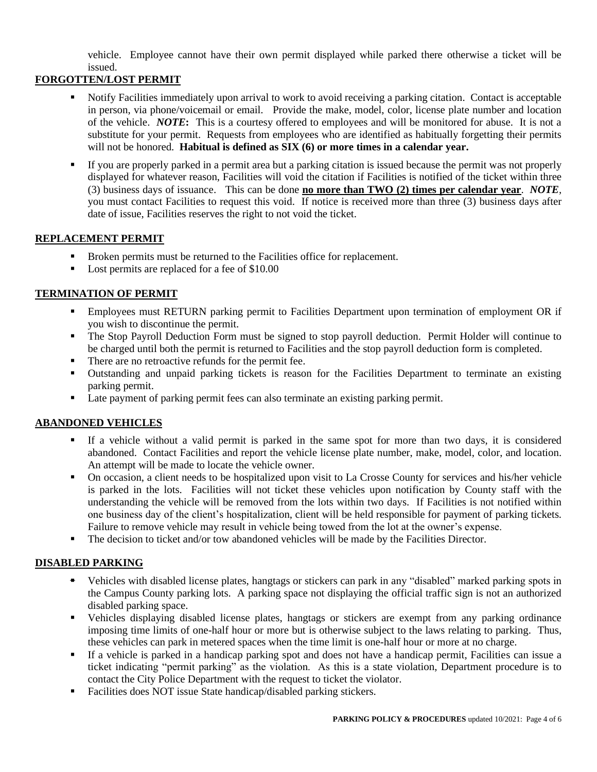vehicle. Employee cannot have their own permit displayed while parked there otherwise a ticket will be issued.

### **FORGOTTEN/LOST PERMIT**

- Notify Facilities immediately upon arrival to work to avoid receiving a parking citation. Contact is acceptable in person, via phone/voicemail or email. Provide the make, model, color, license plate number and location of the vehicle. *NOTE***:** This is a courtesy offered to employees and will be monitored for abuse. It is not a substitute for your permit. Requests from employees who are identified as habitually forgetting their permits will not be honored. **Habitual is defined as SIX (6) or more times in a calendar year.**
- If you are properly parked in a permit area but a parking citation is issued because the permit was not properly displayed for whatever reason, Facilities will void the citation if Facilities is notified of the ticket within three (3) business days of issuance. This can be done **no more than TWO (2) times per calendar year**. *NOTE,* you must contact Facilities to request this void. If notice is received more than three (3) business days after date of issue, Facilities reserves the right to not void the ticket.

#### **REPLACEMENT PERMIT**

- Broken permits must be returned to the Facilities office for replacement.
- Lost permits are replaced for a fee of \$10.00

### **TERMINATION OF PERMIT**

- **Employees must RETURN parking permit to Facilities Department upon termination of employment OR if** you wish to discontinue the permit.
- The Stop Payroll Deduction Form must be signed to stop payroll deduction. Permit Holder will continue to be charged until both the permit is returned to Facilities and the stop payroll deduction form is completed.
- There are no retroactive refunds for the permit fee.
- Outstanding and unpaid parking tickets is reason for the Facilities Department to terminate an existing parking permit.
- Late payment of parking permit fees can also terminate an existing parking permit.

### **ABANDONED VEHICLES**

- If a vehicle without a valid permit is parked in the same spot for more than two days, it is considered abandoned. Contact Facilities and report the vehicle license plate number, make, model, color, and location. An attempt will be made to locate the vehicle owner.
- On occasion, a client needs to be hospitalized upon visit to La Crosse County for services and his/her vehicle is parked in the lots. Facilities will not ticket these vehicles upon notification by County staff with the understanding the vehicle will be removed from the lots within two days. If Facilities is not notified within one business day of the client's hospitalization, client will be held responsible for payment of parking tickets. Failure to remove vehicle may result in vehicle being towed from the lot at the owner's expense.
- The decision to ticket and/or tow abandoned vehicles will be made by the Facilities Director.

### **DISABLED PARKING**

- Vehicles with disabled license plates, hangtags or stickers can park in any "disabled" marked parking spots in the Campus County parking lots. A parking space not displaying the official traffic sign is not an authorized disabled parking space.
- Vehicles displaying disabled license plates, hangtags or stickers are exempt from any parking ordinance imposing time limits of one-half hour or more but is otherwise subject to the laws relating to parking. Thus, these vehicles can park in metered spaces when the time limit is one-half hour or more at no charge.
- If a vehicle is parked in a handicap parking spot and does not have a handicap permit, Facilities can issue a ticket indicating "permit parking" as the violation. As this is a state violation, Department procedure is to contact the City Police Department with the request to ticket the violator.
- Facilities does NOT issue State handicap/disabled parking stickers.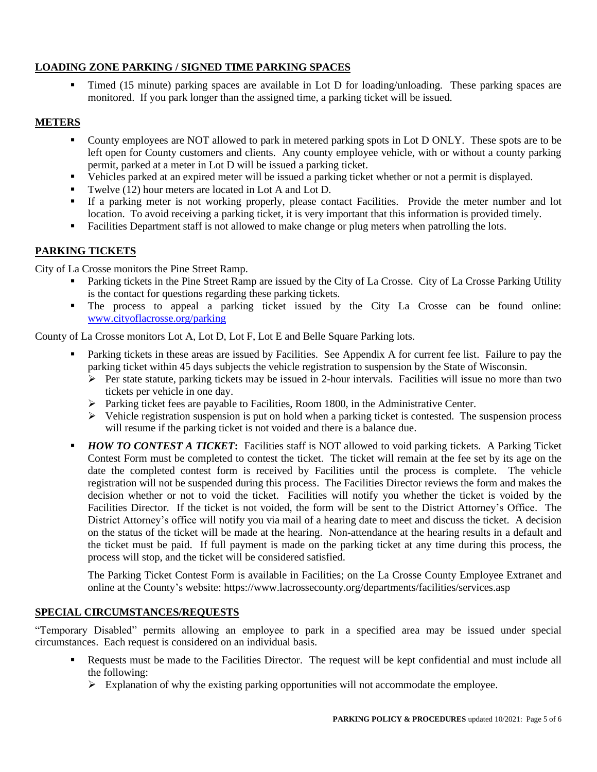# **LOADING ZONE PARKING / SIGNED TIME PARKING SPACES**

Timed (15 minute) parking spaces are available in Lot D for loading/unloading. These parking spaces are monitored. If you park longer than the assigned time, a parking ticket will be issued.

#### **METERS**

- County employees are NOT allowed to park in metered parking spots in Lot D ONLY. These spots are to be left open for County customers and clients. Any county employee vehicle, with or without a county parking permit, parked at a meter in Lot D will be issued a parking ticket.
- Vehicles parked at an expired meter will be issued a parking ticket whether or not a permit is displayed.
- Twelve (12) hour meters are located in Lot A and Lot D.
- If a parking meter is not working properly, please contact Facilities. Provide the meter number and lot location. To avoid receiving a parking ticket, it is very important that this information is provided timely.
- Facilities Department staff is not allowed to make change or plug meters when patrolling the lots.

#### **PARKING TICKETS**

City of La Crosse monitors the Pine Street Ramp.

- Parking tickets in the Pine Street Ramp are issued by the City of La Crosse. City of La Crosse Parking Utility is the contact for questions regarding these parking tickets.
- The process to appeal a parking ticket issued by the City La Crosse can be found online: [www.cityoflacrosse.org/parking](http://www.cityoflacrosse.org/parking)

County of La Crosse monitors Lot A, Lot D, Lot F, Lot E and Belle Square Parking lots.

- Parking tickets in these areas are issued by Facilities. See Appendix A for current fee list. Failure to pay the parking ticket within 45 days subjects the vehicle registration to suspension by the State of Wisconsin.
	- $\triangleright$  Per state statute, parking tickets may be issued in 2-hour intervals. Facilities will issue no more than two tickets per vehicle in one day.
	- ➢ Parking ticket fees are payable to Facilities, Room 1800, in the Administrative Center.
	- $\triangleright$  Vehicle registration suspension is put on hold when a parking ticket is contested. The suspension process will resume if the parking ticket is not voided and there is a balance due.
- *HOW TO CONTEST A TICKET***:** Facilities staff is NOT allowed to void parking tickets. A Parking Ticket Contest Form must be completed to contest the ticket. The ticket will remain at the fee set by its age on the date the completed contest form is received by Facilities until the process is complete. The vehicle registration will not be suspended during this process. The Facilities Director reviews the form and makes the decision whether or not to void the ticket. Facilities will notify you whether the ticket is voided by the Facilities Director. If the ticket is not voided, the form will be sent to the District Attorney's Office. The District Attorney's office will notify you via mail of a hearing date to meet and discuss the ticket. A decision on the status of the ticket will be made at the hearing. Non-attendance at the hearing results in a default and the ticket must be paid. If full payment is made on the parking ticket at any time during this process, the process will stop, and the ticket will be considered satisfied.

The Parking Ticket Contest Form is available in Facilities; on the La Crosse County Employee Extranet and online at the County's website: https://www.lacrossecounty.org/departments/facilities/services.asp

#### **SPECIAL CIRCUMSTANCES/REQUESTS**

"Temporary Disabled" permits allowing an employee to park in a specified area may be issued under special circumstances. Each request is considered on an individual basis.

- Requests must be made to the Facilities Director. The request will be kept confidential and must include all the following:
	- $\triangleright$  Explanation of why the existing parking opportunities will not accommodate the employee.